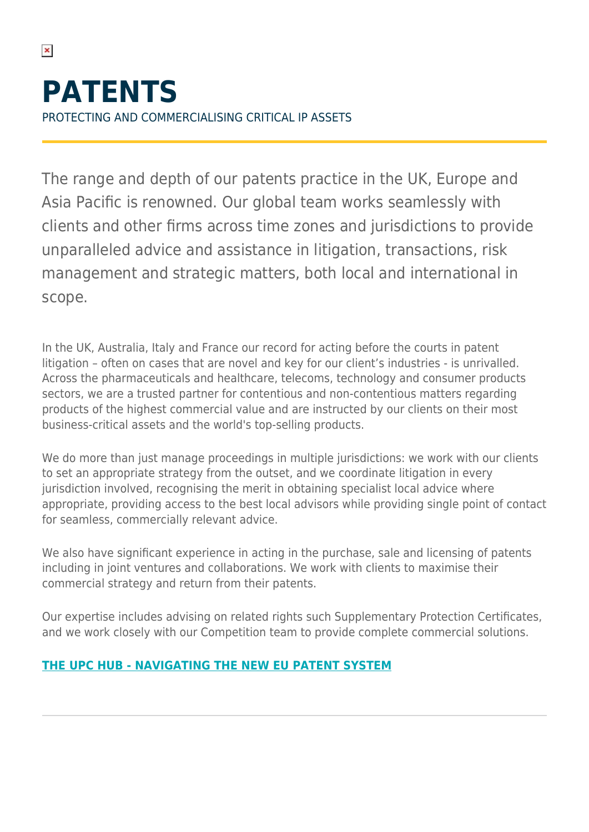$\pmb{\times}$ 

The range and depth of our patents practice in the UK, Europe and Asia Pacific is renowned. Our global team works seamlessly with clients and other firms across time zones and jurisdictions to provide unparalleled advice and assistance in litigation, transactions, risk management and strategic matters, both local and international in scope.

In the UK, Australia, Italy and France our record for acting before the courts in patent litigation – often on cases that are novel and key for our client's industries - is unrivalled. Across the pharmaceuticals and healthcare, telecoms, technology and consumer products sectors, we are a trusted partner for contentious and non-contentious matters regarding products of the highest commercial value and are instructed by our clients on their most business-critical assets and the world's top-selling products.

We do more than just manage proceedings in multiple jurisdictions: we work with our clients to set an appropriate strategy from the outset, and we coordinate litigation in every jurisdiction involved, recognising the merit in obtaining specialist local advice where appropriate, providing access to the best local advisors while providing single point of contact for seamless, commercially relevant advice.

We also have significant experience in acting in the purchase, sale and licensing of patents including in joint ventures and collaborations. We work with clients to maximise their commercial strategy and return from their patents.

Our expertise includes advising on related rights such Supplementary Protection Certificates, and we work closely with our Competition team to provide complete commercial solutions.

## **[THE UPC HUB - NAVIGATING THE NEW EU PATENT SYSTEM](https://www.herbertsmithfreehills.com/latest-thinking/hubs/upc)**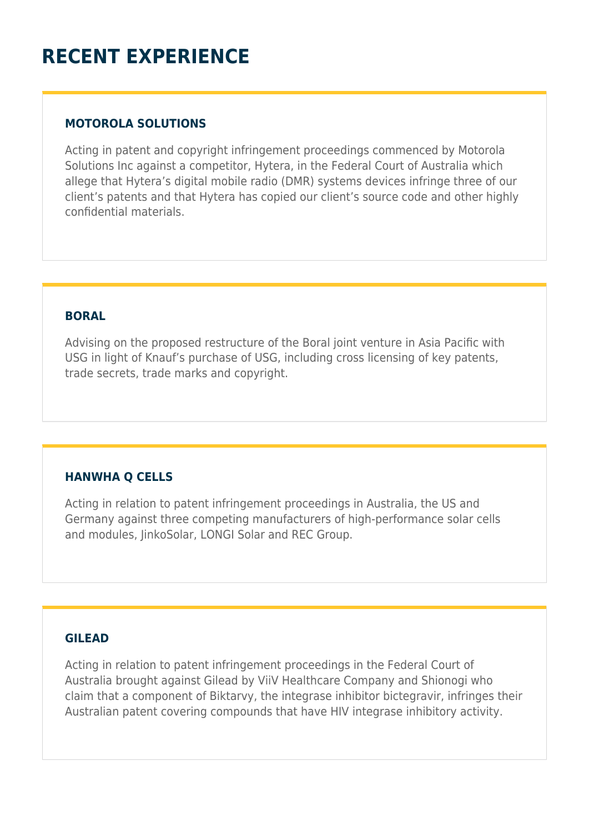# **RECENT EXPERIENCE**

## **MOTOROLA SOLUTIONS**

Acting in patent and copyright infringement proceedings commenced by Motorola Solutions Inc against a competitor, Hytera, in the Federal Court of Australia which allege that Hytera's digital mobile radio (DMR) systems devices infringe three of our client's patents and that Hytera has copied our client's source code and other highly confidential materials.

### **BORAL**

Advising on the proposed restructure of the Boral joint venture in Asia Pacific with USG in light of Knauf's purchase of USG, including cross licensing of key patents, trade secrets, trade marks and copyright.

## **HANWHA Q CELLS**

Acting in relation to patent infringement proceedings in Australia, the US and Germany against three competing manufacturers of high-performance solar cells and modules, JinkoSolar, LONGI Solar and REC Group.

#### **GILEAD**

Acting in relation to patent infringement proceedings in the Federal Court of Australia brought against Gilead by ViiV Healthcare Company and Shionogi who claim that a component of Biktarvy, the integrase inhibitor bictegravir, infringes their Australian patent covering compounds that have HIV integrase inhibitory activity.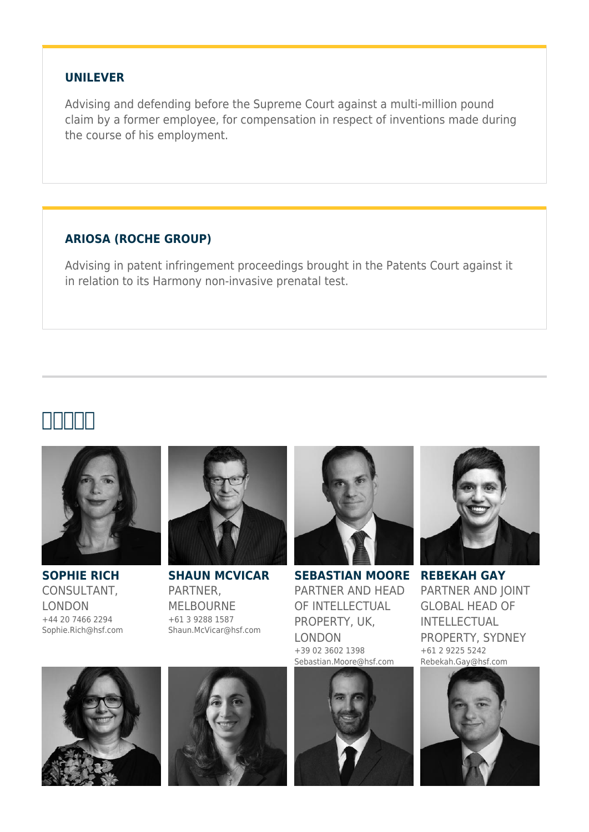#### **UNILEVER**

Advising and defending before the Supreme Court against a multi-million pound claim by a former employee, for compensation in respect of inventions made during the course of his employment.

## **ARIOSA (ROCHE GROUP)**

Advising in patent infringement proceedings brought in the Patents Court against it in relation to its Harmony non-invasive prenatal test.

# **主要联系人**



**SOPHIE RICH** CONSULTANT, LONDON +44 20 7466 2294 Sophie.Rich@hsf.com



**SHAUN MCVICAR** PARTNER, MELBOURNE +61 3 9288 1587 Shaun.McVicar@hsf.com



**SEBASTIAN MOORE** PARTNER AND HEAD OF INTELLECTUAL PROPERTY, UK, LONDON +39 02 3602 1398 Sebastian.Moore@hsf.com



**REBEKAH GAY** PARTNER AND JOINT GLOBAL HEAD OF INTELLECTUAL PROPERTY, SYDNEY +61 2 9225 5242 Rebekah.Gay@hsf.com